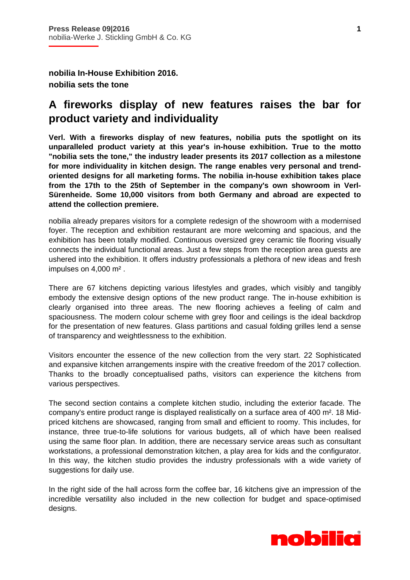**nobilia In-House Exhibition 2016. nobilia sets the tone** 

i

## **A fireworks display of new features raises the bar for product variety and individuality**

**Verl. With a fireworks display of new features, nobilia puts the spotlight on its unparalleled product variety at this year's in-house exhibition. True to the motto "nobilia sets the tone," the industry leader presents its 2017 collection as a milestone for more individuality in kitchen design. The range enables very personal and trendoriented designs for all marketing forms. The nobilia in-house exhibition takes place from the 17th to the 25th of September in the company's own showroom in Verl-Sürenheide. Some 10,000 visitors from both Germany and abroad are expected to attend the collection premiere.** 

nobilia already prepares visitors for a complete redesign of the showroom with a modernised foyer. The reception and exhibition restaurant are more welcoming and spacious, and the exhibition has been totally modified. Continuous oversized grey ceramic tile flooring visually connects the individual functional areas. Just a few steps from the reception area guests are ushered into the exhibition. It offers industry professionals a plethora of new ideas and fresh impulses on 4,000 m² .

There are 67 kitchens depicting various lifestyles and grades, which visibly and tangibly embody the extensive design options of the new product range. The in-house exhibition is clearly organised into three areas. The new flooring achieves a feeling of calm and spaciousness. The modern colour scheme with grey floor and ceilings is the ideal backdrop for the presentation of new features. Glass partitions and casual folding grilles lend a sense of transparency and weightlessness to the exhibition.

Visitors encounter the essence of the new collection from the very start. 22 Sophisticated and expansive kitchen arrangements inspire with the creative freedom of the 2017 collection. Thanks to the broadly conceptualised paths, visitors can experience the kitchens from various perspectives.

The second section contains a complete kitchen studio, including the exterior facade. The company's entire product range is displayed realistically on a surface area of 400 m². 18 Midpriced kitchens are showcased, ranging from small and efficient to roomy. This includes, for instance, three true-to-life solutions for various budgets, all of which have been realised using the same floor plan. In addition, there are necessary service areas such as consultant workstations, a professional demonstration kitchen, a play area for kids and the configurator. In this way, the kitchen studio provides the industry professionals with a wide variety of suggestions for daily use.

In the right side of the hall across form the coffee bar, 16 kitchens give an impression of the incredible versatility also included in the new collection for budget and space-optimised designs.



**1**